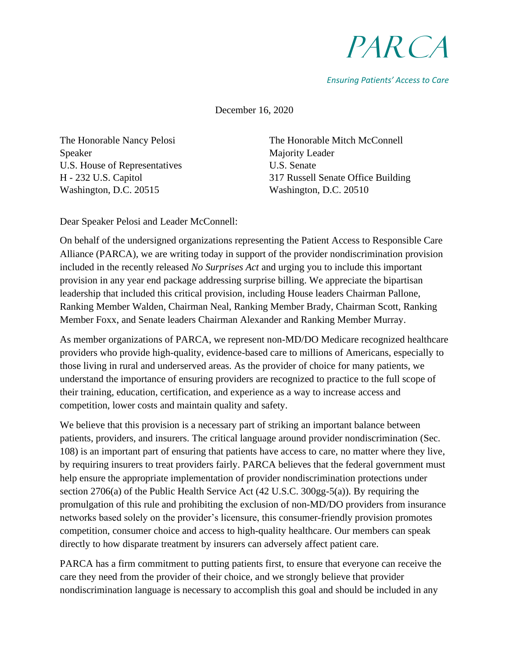## PARCA

*Ensuring Patients' Access to Care*

December 16, 2020

The Honorable Nancy Pelosi Speaker U.S. House of Representatives H - 232 U.S. Capitol Washington, D.C. 20515

The Honorable Mitch McConnell Majority Leader U.S. Senate 317 Russell Senate Office Building Washington, D.C. 20510

Dear Speaker Pelosi and Leader McConnell:

On behalf of the undersigned organizations representing the Patient Access to Responsible Care Alliance (PARCA), we are writing today in support of the provider nondiscrimination provision included in the recently released *No Surprises Act* and urging you to include this important provision in any year end package addressing surprise billing. We appreciate the bipartisan leadership that included this critical provision, including House leaders Chairman Pallone, Ranking Member Walden, Chairman Neal, Ranking Member Brady, Chairman Scott, Ranking Member Foxx, and Senate leaders Chairman Alexander and Ranking Member Murray.

As member organizations of PARCA, we represent non-MD/DO Medicare recognized healthcare providers who provide high-quality, evidence-based care to millions of Americans, especially to those living in rural and underserved areas. As the provider of choice for many patients, we understand the importance of ensuring providers are recognized to practice to the full scope of their training, education, certification, and experience as a way to increase access and competition, lower costs and maintain quality and safety.

We believe that this provision is a necessary part of striking an important balance between patients, providers, and insurers. The critical language around provider nondiscrimination (Sec. 108) is an important part of ensuring that patients have access to care, no matter where they live, by requiring insurers to treat providers fairly. PARCA believes that the federal government must help ensure the appropriate implementation of provider nondiscrimination protections under section 2706(a) of the Public Health Service Act (42 U.S.C. 300gg-5(a)). By requiring the promulgation of this rule and prohibiting the exclusion of non-MD/DO providers from insurance networks based solely on the provider's licensure, this consumer-friendly provision promotes competition, consumer choice and access to high-quality healthcare. Our members can speak directly to how disparate treatment by insurers can adversely affect patient care.

PARCA has a firm commitment to putting patients first, to ensure that everyone can receive the care they need from the provider of their choice, and we strongly believe that provider nondiscrimination language is necessary to accomplish this goal and should be included in any